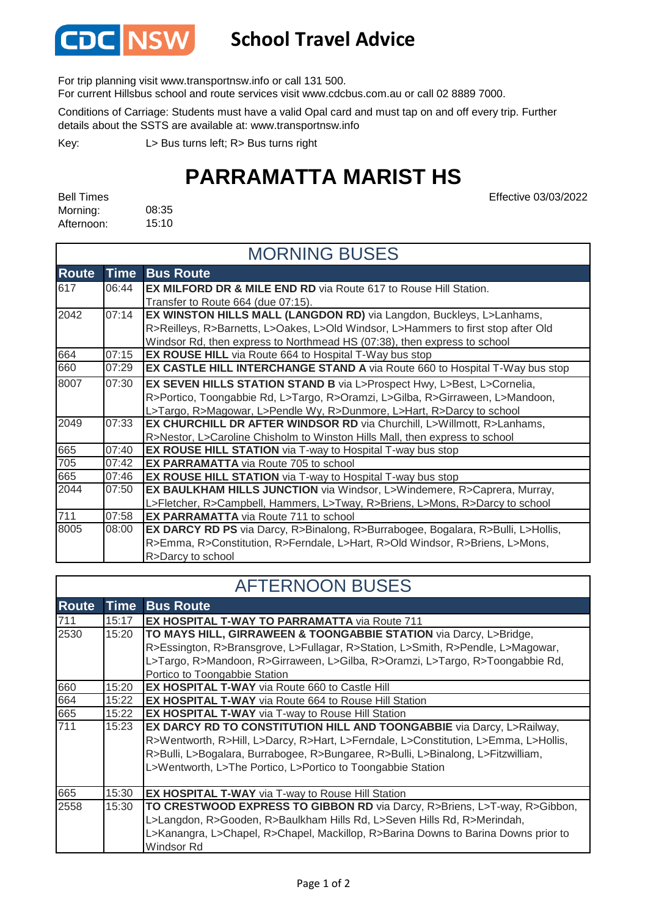

## **School Travel Advice**

For trip planning visit www.transportnsw.info or call 131 500.

For current Hillsbus school and route services visit www.cdcbus.com.au or call 02 8889 7000.

Conditions of Carriage: Students must have a valid Opal card and must tap on and off every trip. Further details about the SSTS are available at: www.transportnsw.info

L> Bus turns left; R> Bus turns right Key:

## **PARRAMATTA MARIST HS**

Effective 03/03/2022

| <b>Bell Times</b> |       |
|-------------------|-------|
| Morning:          | 08:35 |
| Afternoon:        | 15:10 |

|              |             | <b>MORNING BUSES</b>                                                                |
|--------------|-------------|-------------------------------------------------------------------------------------|
| <b>Route</b> | <b>Time</b> | <b>Bus Route</b>                                                                    |
| 617          | 06:44       | <b>EX MILFORD DR &amp; MILE END RD</b> via Route 617 to Rouse Hill Station.         |
|              |             | Transfer to Route 664 (due 07:15).                                                  |
| 2042         | 07:14       | <b>EX WINSTON HILLS MALL (LANGDON RD)</b> via Langdon, Buckleys, L>Lanhams,         |
|              |             | R>Reilleys, R>Barnetts, L>Oakes, L>Old Windsor, L>Hammers to first stop after Old   |
|              |             | Windsor Rd, then express to Northmead HS (07:38), then express to school            |
| 664          | 07:15       | <b>EX ROUSE HILL</b> via Route 664 to Hospital T-Way bus stop                       |
| 660          | 07:29       | <b>EX CASTLE HILL INTERCHANGE STAND A</b> via Route 660 to Hospital T-Way bus stop  |
| 8007         | 07:30       | EX SEVEN HILLS STATION STAND B via L>Prospect Hwy, L>Best, L>Cornelia,              |
|              |             | R>Portico, Toongabbie Rd, L>Targo, R>Oramzi, L>Gilba, R>Girraween, L>Mandoon,       |
|              |             | L>Targo, R>Magowar, L>Pendle Wy, R>Dunmore, L>Hart, R>Darcy to school               |
| 2049         | 07:33       | <b>EX CHURCHILL DR AFTER WINDSOR RD via Churchill, L&gt;Willmott, R&gt;Lanhams,</b> |
|              |             | R>Nestor, L>Caroline Chisholm to Winston Hills Mall, then express to school         |
| 665          | 07:40       | <b>EX ROUSE HILL STATION</b> via T-way to Hospital T-way bus stop                   |
| 705          | 07:42       | <b>EX PARRAMATTA</b> via Route 705 to school                                        |
| 665          | 07:46       | <b>EX ROUSE HILL STATION</b> via T-way to Hospital T-way bus stop                   |
| 2044         | 07:50       | EX BAULKHAM HILLS JUNCTION via Windsor, L>Windemere, R>Caprera, Murray,             |
|              |             | L>Fletcher, R>Campbell, Hammers, L>Tway, R>Briens, L>Mons, R>Darcy to school        |
| 711          | 07:58       | <b>EX PARRAMATTA</b> via Route 711 to school                                        |
| 8005         | 08:00       | EX DARCY RD PS via Darcy, R>Binalong, R>Burrabogee, Bogalara, R>Bulli, L>Hollis,    |
|              |             | R>Emma, R>Constitution, R>Ferndale, L>Hart, R>Old Windsor, R>Briens, L>Mons,        |
|              |             | R>Darcy to school                                                                   |

## AFTERNOON BUSES

| <b>Route</b> | <b>Time</b> | <b>Bus Route</b>                                                                    |
|--------------|-------------|-------------------------------------------------------------------------------------|
| 711          | 15:17       | <b>EX HOSPITAL T-WAY TO PARRAMATTA via Route 711</b>                                |
| 2530         | 15:20       | TO MAYS HILL, GIRRAWEEN & TOONGABBIE STATION via Darcy, L>Bridge,                   |
|              |             | R>Essington, R>Bransgrove, L>Fullagar, R>Station, L>Smith, R>Pendle, L>Magowar,     |
|              |             | L>Targo, R>Mandoon, R>Girraween, L>Gilba, R>Oramzi, L>Targo, R>Toongabbie Rd,       |
|              |             | Portico to Toongabbie Station                                                       |
| 660          | 15:20       | <b>EX HOSPITAL T-WAY</b> via Route 660 to Castle Hill                               |
| 664          | 15:22       | <b>EX HOSPITAL T-WAY</b> via Route 664 to Rouse Hill Station                        |
| 665          | 15:22       | <b>EX HOSPITAL T-WAY</b> via T-way to Rouse Hill Station                            |
| 711          | 15:23       | EX DARCY RD TO CONSTITUTION HILL AND TOONGABBIE via Darcy, L>Railway,               |
|              |             | R>Wentworth, R>Hill, L>Darcy, R>Hart, L>Ferndale, L>Constitution, L>Emma, L>Hollis, |
|              |             | R>Bulli, L>Bogalara, Burrabogee, R>Bungaree, R>Bulli, L>Binalong, L>Fitzwilliam,    |
|              |             | L>Wentworth, L>The Portico, L>Portico to Toongabbie Station                         |
|              |             |                                                                                     |
| 665          | 15:30       | <b>EX HOSPITAL T-WAY</b> via T-way to Rouse Hill Station                            |
| 2558         | 15:30       | TO CRESTWOOD EXPRESS TO GIBBON RD via Darcy, R>Briens, L>T-way, R>Gibbon,           |
|              |             | L>Langdon, R>Gooden, R>Baulkham Hills Rd, L>Seven Hills Rd, R>Merindah,             |
|              |             | L>Kanangra, L>Chapel, R>Chapel, Mackillop, R>Barina Downs to Barina Downs prior to  |
|              |             | Windsor Rd                                                                          |